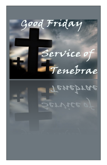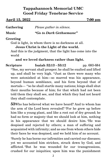# **Tappahannock Memorial UMC Good Friday Tenebrae Service**

| <b>April 15, 2022</b> |                           | $7:00~\mathrm{pm}$ |
|-----------------------|---------------------------|--------------------|
| Gathering             | Please gather in silence. |                    |
| <b>Music</b>          | "Go to Dark Gethsemane"   |                    |
| Greeting              |                           |                    |

God is light, in whom there is no darkness at all.

**Jesus Christ is the Light of the world.**

And this is the judgment, that the light has come into the world

# **and we loved darkness rather than light.**

**Scripture Isaiah 52:13 - 53:12** pp. 683-684 <sup>13</sup>See, my servant shall prosper; he shall be exalted and lifted up, and shall be very high. <sup>14</sup>Just as there were many who were astonished at him—so marred was his appearance, beyond human semblance, and his form beyond that of mortals— <sup>15</sup>so he shall startle many nations; kings shall shut their mouths because of him; for that which had not been told them they shall see, and that which they had not heard they shall contemplate.

**53**Who has believed what we have heard? And to whom has the arm of the Lord been revealed? <sup>2</sup>For he grew up before him like a young plant, and like a root out of dry ground; he had no form or majesty that we should look at him, nothing in his appearance that we should desire him. <sup>3</sup>He was despised and rejected by others; a man of suffering and acquainted with infirmity; and as one from whom others hide their faces he was despised, and we held him of no account.

<sup>4</sup>Surely he has borne our infirmities and carried our diseases; yet we accounted him stricken, struck down by God, and afflicted. <sup>5</sup>But he was wounded for our transgressions, crushed for our iniquities; upon him was the punishment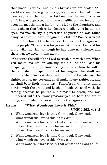that made us whole, and by his bruises we are healed. <sup>6</sup>All we like sheep have gone astray; we have all turned to our own way, and the Lord has laid on him the iniquity of us all. <sup>7</sup>He was oppressed, and he was afflicted, yet he did not open his mouth; like a lamb that is led to the slaughter, and like a sheep that before its shearers is silent, so he did not open his mouth. <sup>8</sup>By a perversion of justice he was taken away. Who could have imagined his future? For he was cut off from the land of the living, stricken for the transgression of my people. <sup>9</sup>They made his grave with the wicked and his tomb with the rich, although he had done no violence, and there was no deceit in his mouth.

<sup>10</sup>Yet it was the will of the Lord to crush him with pain. When you make his life an offering for sin, he shall see his offspring, and shall prolong his days; through him the will of the Lord shall prosper.  $^{11}$ Out of his anguish he shall see light; he shall find satisfaction through his knowledge. The righteous one, my servant, shall make many righteous, and he shall bear their iniquities. <sup>12</sup>Therefore I will allot him a portion with the great, and he shall divide the spoil with the strong; because he poured out himself to death, and was numbered with the transgressors; yet he bore the sin of many, and made intercession for the transgressors.

### **Hymn "What Wondrous Love Is This"**

 **UMH # 292, v. 1, 2**

- **1.** What wondrous love is this, O my soul, O my soul, what wondrous love is this, O my soul! What wondrous love is this that caused the Lord of bliss to bear the dreadful curse for my soul, for my soul, to bear the dreadful curse for my soul.
- **2.** What wondrous love is this, O my soul, O my soul, what wondrous love is this, O my soul! What wondrous love is this, that caused the Lord of life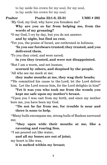to lay aside his crown for my soul, for my soul, to lay aside his crown for my soul.

|                | $\frac{1}{2}$                                                          |                     |                  |
|----------------|------------------------------------------------------------------------|---------------------|------------------|
| <b>Psalter</b> | <sup>1</sup> My God, my God, why have you forsaken me?                 | Psalm 22:1-8, 25-31 | <b>UMH # 292</b> |
|                | Why are you so far from helping me, from the<br>words of my groaning?  |                     |                  |
|                | <sup>2</sup> O my God, I cry by day, but you do not answer;            |                     |                  |
|                | and by night, but find no rest.                                        |                     |                  |
|                | <sup>3</sup> Yet you, the praise of Israel, are enthroned in holiness. |                     |                  |
|                | <sup>4</sup> In you our forebears trusted; they trusted, and you       |                     |                  |
|                | delivered them.                                                        |                     |                  |
|                | <sup>5</sup> To you they cried, and were saved;                        |                     |                  |
|                | in you they trusted, and were not disappointed.                        |                     |                  |
|                | <sup>6</sup> But I am a worm, and not human;                           |                     |                  |
|                | scorned by others, and despised by the people.                         |                     |                  |
|                | <sup>7</sup> All who see me mock at me;                                |                     |                  |
|                | they make mouths at me, they wag their heads;                          |                     |                  |
|                | <sup>84</sup> He committed his cause to the Lord; let the Lord deliver |                     |                  |
|                | him. Let the Lord rescue him, for the Lord delights in him!"           |                     |                  |
|                | <sup>9</sup> Yet it was you who took me from the womb; you             |                     |                  |
|                | kept me safe upon my mother's breast.                                  |                     |                  |
|                | <sup>10</sup> Upon you I was cast from my birth, and since my mother   |                     |                  |
|                | bore me, you have been my God.                                         |                     |                  |
|                | <sup>11</sup> Do not be far from me, for trouble is near and           |                     |                  |
|                | there is none to help.                                                 |                     |                  |
|                | <sup>12</sup> Many bulls encompass me, strong bulls of Bashan surround |                     |                  |
| me;            |                                                                        |                     |                  |
|                | <sup>13</sup> they open wide their mouths at me, like a                |                     |                  |
|                | ravening and roaring lion.                                             |                     |                  |
|                | <sup>14</sup> I am poured out like water,                              |                     |                  |
|                | and all my bones are out of joint;                                     |                     |                  |
|                | my heart is like wax,                                                  |                     |                  |
|                | it is melted within my breast;                                         |                     |                  |
|                |                                                                        |                     |                  |
|                |                                                                        |                     |                  |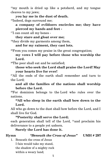$15$ my mouth is dried up like a potsherd, and my tongue cleaves to my jaws;

**you lay me in the dust of death.**

<sup>16</sup>Indeed, dogs surround me;

**a company of evildoers encircles me; they have pierced my hands and feet -**

<sup>17</sup>I can count all my bones -

**they stare and gloat over me;**

 $18$ <sup>18</sup>they divide my garments among them,

**and for my raiment, they cast lots.**

 $^{25}$ From you comes my praise in the great congregation;

**my vows I will pay before those who worship the Lord.**

<sup>26</sup>The poor shall eat and be satisfied;

**those who seek the Lord shall praise the Lord! May your hearts live for ever!**

 $27$ All the ends of the earth shall remember and turn to the Lord;

**and all the families of the nations shall worship before the Lord.**

<sup>28</sup>For dominion belongs to the Lord who rules over the nations.

**<sup>29</sup>All who sleep in the earth shall bow down to the Lord.**

All who go down to the dust shall bow before the Lord, and I shall live for God.

# **<sup>30</sup>Posterity shall serve the Lord;**

each generation shall tell of the Lord, <sup>31</sup>and proclaim his deliverance to a people yet unborn.

# **Surely the Lord has done it.**

**Hymn** *"Beneath the Cross of Jesus"* **UMH # 297**

1. Beneath the cross of Jesus I fain would take my stand, the shadow of a mighty rock within a weary land;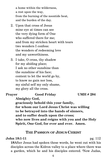a home within the wilderness, a rest upon the way, from the burning of the noontide heat, and the burden of the day.

- 2. Upon that cross of Jesus mine eye at times can see the very dying form of One who suffered there for me; and from my stricken heart with tears two wonders I confess: the wonders of redeeming love and my unworthiness.
- 3. I take, O cross, thy shadow for my abiding place; I ask no other sunshine than the sunshine of his face; content to let the world go by, to know no gain nor loss, my sinful self my only shame, my glory all the cross.

# **Prayer Good Friday UMH # 284 Almighty God, graciously behold this your family, for whom our Lord Jesus Christ was willing to be betrayed into the hands of sinners, and to suffer death upon the cross; who now lives and reigns with you and the Holy Spirit, One God, for ever and ever. Amen.**

# **THE PASSION OF JESUS CHRIST**

### **John 18:1-11 pg. 112**

**18**After Jesus had spoken these words, he went out with his disciples across the Kidron valley to a place where there was a garden, which he and his disciples entered. <sup>2</sup>Now Judas,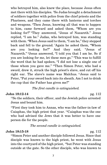who betrayed him, also knew the place, because Jesus often met there with his disciples. <sup>3</sup>So Judas brought a detachment of soldiers together with police from the chief priests and the Pharisees, and they came there with lanterns and torches and weapons. <sup>4</sup>Then Jesus, knowing all that was to happen to him, came forward and asked them, "Whom are you looking for?" <sup>5</sup>They answered, "Jesus of Nazareth." Jesus replied, "I am he." Judas, who betrayed him, was standing with them. <sup>6</sup>When Jesus said to them, "I am he," they stepped back and fell to the ground. <sup>7</sup>Again he asked them, "Whom are you looking for?" And they said, "Jesus of Nazareth." <sup>8</sup>Jesus answered, "I told you that I am he. So if you are looking for me, let these men go." <sup>9</sup>This was to fulfill the word that he had spoken, "I did not lose a single one of those whom you gave me." <sup>10</sup>Then Simon Peter, who had a sword, drew it, struck the high priest's slave, and cut off his right ear. The slave's name was Malchus. <sup>11</sup>Jesus said to Peter, "Put your sword back into its sheath. Am I not to drink the cup that the Father has given me?"

*The first candle is extinguished.*

# **John 18:12-14** pg. 112

<sup>12</sup>So the soldiers, their officer, and the Jewish police arrested Jesus and bound him.

<sup>13</sup>First they took him to Annas, who was the father-in-law of Caiaphas, the high priest that year. <sup>14</sup>Caiaphas was the one who had advised the Jews that it was better to have one person die for the people.

*The second candle is extinguished.*

# **John 18:15-18** pg. 112

<sup>15</sup>Simon Peter and another disciple followed Jesus. Since that disciple was known to the high priest, he went with Jesus into the courtyard of the high priest, <sup>16</sup>but Peter was standing outside at the gate. So the other disciple, who was known to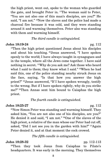the high priest, went out, spoke to the woman who guarded the gate, and brought Peter in. <sup>17</sup>The woman said to Peter, "You are not also one of this man's disciples, are you?" He said, "I am not." <sup>18</sup>Now the slaves and the police had made a charcoal fire because it was cold, and they were standing around it and warming themselves. Peter also was standing with them and warming himself.

## *The third candle is extinguished.*

### **John 18:19-24** pg. 112

<sup>19</sup>Then the high priest questioned Jesus about his disciples and about his teaching. <sup>20</sup>Jesus answered, "I have spoken openly to the world; I have always taught in synagogues and in the temple, where all the Jews come together. I have said nothing in secret. <sup>21</sup>Why do you ask me? Ask those who heard what I said to them; they know what I said." <sup>22</sup>When he had said this, one of the police standing nearby struck Jesus on the face, saying, "Is that how you answer the high priest?" <sup>23</sup>Jesus answered, "If I have spoken wrongly, testify to the wrong. But if I have spoken rightly, why do you strike me?" <sup>24</sup>Then Annas sent him bound to Caiaphas the high priest.

# *The fourth candle is extinguished.*

#### **John 18:25-27** pg. 112

<sup>25</sup>Now Simon Peter was standing and warming himself. They asked him, "You are not also one of his disciples, are you?" He denied it and said, "I am not." <sup>26</sup>One of the slaves of the high priest, a relative of the man whose ear Peter had cut off, asked, "Did I not see you in the garden with him?" <sup>27</sup>Again Peter denied it, and at that moment the cock crowed.

### *The fifth candle is extinguished.*

# **John 18:28-32** pp. 112-113

<sup>28</sup>Then they took Jesus from Caiaphas to Pilate's headquarters. It was early in the morning. They themselves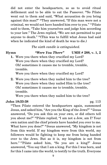did not enter the headquarters, so as to avoid ritual defilement and to be able to eat the Passover. <sup>29</sup>So Pilate went out to them and said, "What accusation do you bring against this man?" <sup>30</sup>They answered, "If this man were not a criminal, we would not have handed him over to you." <sup>31</sup>Pilate said to them, "Take him yourselves and judge him according to your law." The Jews replied, "We are not permitted to put anyone to death." <sup>32</sup>(This was to fulfill what Jesus had said when he indicated the kind of death he was to die.)

### *The sixth candle is extinguished.*

# **Hymn** *"Were You There"* **UMH # 288, v. 1, 2**

**1.** Were you there when they crucified my Lord? Were you there when they crucified my Lord? Oh! sometimes it causes me to tremble, tremble, tremble.

Were you there when they crucified my Lord?

**2.** Were you there when they nailed him to the tree? Were you there when they nailed Him to the tree? Oh! sometimes it causes me to tremble, tremble, tremble.

Were you there when they nailed him to the tree?

# **John 18:33-38** pg. 113

<sup>33</sup>Then Pilate entered the headquarters again, summoned Jesus, and asked him, "Are you the King of the Jews?" <sup>34</sup>Jesus answered, "Do you ask this on your own, or did others tell you about me?" <sup>35</sup>Pilate replied, "I am not a Jew, am I? Your own nation and the chief priests have handed you over to me. What have you done?" <sup>36</sup>Jesus answered, "My kingdom is not from this world. If my kingdom were from this world, my followers would be fighting to keep me from being handed over to the Jews. But as it is, my kingdom is not from here." <sup>37</sup>Pilate asked him, "So you are a king?" Jesus answered, "You say that I am a king. For this I was born, and for this I came into the world, to testify to the truth. Everyone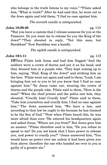who belongs to the truth listens to my voice." <sup>38</sup>Pilate asked him, "What is truth?" After he had said this, he went out to the Jews again and told them, "I find no case against him.

*The seventh candle is extinguished.*

# **John 18:39-40** pg. 113

<sup>39</sup>But you have a custom that I release someone for you at the Passover. Do you want me to release for you the King of the Jews?" <sup>40</sup>They shouted in reply, "Not this man, but Barabbas!" Now Barabbas was a bandit.

# *The eighth candle is extinguished.*

# **John 19:1-11** pg. 113

**19**Then Pilate took Jesus and had him flogged. <sup>2</sup>And the soldiers wove a crown of thorns and put it on his head, and they dressed him in a purple robe. <sup>3</sup>They kept coming up to him, saying, "Hail, King of the Jews!" and striking him on the face. <sup>4</sup>Pilate went out again and said to them, "Look, I am bringing him out to you to let you know that I find no case against him." <sup>5</sup>So Jesus came out, wearing the crown of thorns and the purple robe. Pilate said to them, "Here is the man!" When the chief priests and the police saw him, they shouted, "Crucify him! Crucify him!" Pilate said to them, "Take him yourselves and crucify him; I find no case against him." The Jews answered him, "We have a law, and according to that law he ought to die because he has claimed to be the Son of God." <sup>8</sup>Now when Pilate heard this, he was more afraid than ever. <sup>9</sup>He entered his headquarters again and asked Jesus, "Where are you from?" But Jesus gave him no answer. <sup>10</sup>Pilate therefore said to him, "Do you refuse to speak to me? Do you not know that I have power to release you, and power to crucify you?" <sup>11</sup>Jesus answered him, "You would have no power over me unless it had been given you from above; therefore the one who handed me over to you is guilty of a greater sin."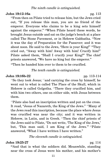# **John 19:12-16a pg. 113**

<sup>12</sup>From then on Pilate tried to release him, but the Jews cried out, "If you release this man, you are no friend of the emperor. Everyone who claims to be a king sets himself against the emperor." <sup>13</sup>When Pilate heard these words, he brought Jesus outside and sat on the judge's bench at a place called The Stone Pavement, or in Hebrew Gabbatha. <sup>14</sup>Now it was the day of Preparation for the Passover; and it was about noon. He said to the Jews, "Here is your King!" <sup>15</sup>They cried out, "Away with him! Away with him! Crucify him!" Pilate asked them, "Shall I crucify your King?" The chief priests answered, "We have no king but the emperor."

<sup>16</sup>Then he handed him over to them to be crucified.

*The tenth candle is extinguished.*

### **John 19:16b-22** pp. 113-114

 $16$ So they took Jesus;  $17$  and carrying the cross by himself, he went out to what is called The Place of the Skull, which in Hebrew is called Golgotha. <sup>18</sup>There they crucified him, and with him two others, one on either side, with Jesus between them.

 $19P$ ilate also had an inscription written and put on the cross. It read, "Jesus of Nazareth, the King of the Jews." <sup>20</sup>Many of the Jews read this inscription, because the place where Jesus was crucified was near the city; and it was written in Hebrew, in Latin, and in Greek. <sup>21</sup>Then the chief priests of the Jews said to Pilate, "Do not write, 'The King of the Jews,' but, 'This man said, I am King of the Jews." <sup>22</sup>Pilate answered, "What I have written I have written."

# *The eleventh candle is extinguished.*

# **John 19:25-27** pg. 114

<sup>25</sup>And that is what the soldiers did. Meanwhile, standing near the cross of Jesus were his mother, and his mother's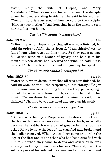sister, Mary the wife of Clopas, and Mary Magdalene. <sup>26</sup>When Jesus saw his mother and the disciple whom he loved standing beside her, he said to his mother, "Woman, here is your son." <sup>27</sup>Then he said to the disciple, "Here is your mother." And from that hour the disciple took her into his own home.

### *The twelfth candle is extinguished.*

#### **John 19:28-30** pg. 114

<sup>28</sup>After this, when Jesus knew that all was now finished, he said (in order to fulfill the scripture), "I am thirsty." <sup>29</sup>A jar full of sour wine was standing there. So they put a sponge full of the wine on a branch of hyssop and held it to his mouth. <sup>30</sup>When Jesus had received the wine, he said, "It is finished." Then he bowed his head and gave up his spirit.

*The thirteenth candle is extinguished.*

# **John 19:28-30** pg. 114

<sup>28</sup>After this, when Jesus knew that all was now finished, he said (in order to fulfill the scripture), "I am thirsty." <sup>29</sup>A jar full of sour wine was standing there. So they put a sponge full of the wine on a branch of hyssop and held it to his mouth. <sup>30</sup>When Jesus had received the wine, he said, "It is finished." Then he bowed his head and gave up his spirit.

*The fourteenth candle is extinguished.*

# **John 19:31-37** pg. 114

<sup>31</sup>Since it was the day of Preparation, the Jews did not want the bodies left on the cross during the sabbath, especially because that sabbath was a day of great solemnity. So they asked Pilate to have the legs of the crucified men broken and the bodies removed. <sup>32</sup>Then the soldiers came and broke the legs of the first and of the other who had been crucified with him. <sup>33</sup>But when they came to Jesus and saw that he was already dead, they did not break his legs. <sup>34</sup>Instead, one of the soldiers pierced his side with a spear, and at once blood and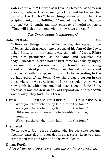water came out. <sup>35</sup> (He who saw this has testified so that you also may believe. His testimony is true, and he knows that he tells the truth.) <sup>36</sup>These things occurred so that the scripture might be fulfilled, "None of his bones shall be broken." <sup>37</sup>And again another passage of scripture says, "They will look on the one whom they have pierced."

# *The Christ candle is extinguished.*

# **John 19:38-42** pg. 114

<sup>38</sup>After these things, Joseph of Arimathea, who was a disciple of Jesus, though a secret one because of his fear of the Jews, asked Pilate to let him take away the body of Jesus. Pilate gave him permission; so he came and removed his body. <sup>39</sup>Nicodemus, who had at first come to Jesus by night, also came, bringing a mixture of myrrh and aloes, weighing about a hundred pounds. <sup>40</sup>They took the body of Jesus and wrapped it with the spices in linen cloths, according to the burial custom of the Jews. <sup>41</sup>Now there was a garden in the place where he was crucified, and in the garden there was a new tomb in which no one had ever been laid. <sup>42</sup>And so, because it was the Jewish day of Preparation, and the tomb was nearby, they laid Jesus there.

# **Hymn "Were You There" UMH # 288, v. 5**

**5.** Were you there when they laid him in the tomb? Were you there when they laid him in the tomb? Oh! sometimes it causes me to tremble, tremble, tremble.

Were you there when they laid him in the tomb?

# **Dismissal**

Go in peace. May Jesus Christ, who for our sake became obedient unto death, even death on a cross, keep you and strengthen you this night and for ever. Amen.

# **Going Forth**

*Please leave in silence as we await the coming resurrection*.